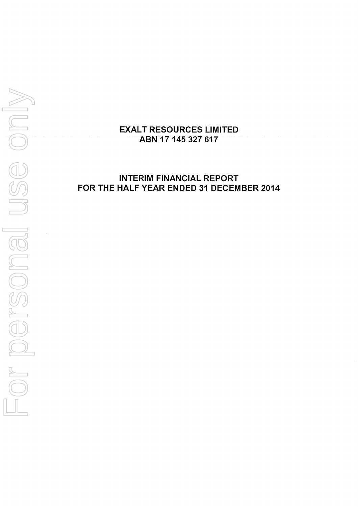

# **INTERIM FINANCIAL REPORT FOR THE HALF YEAR ENDED 31 DECEMBER 2014**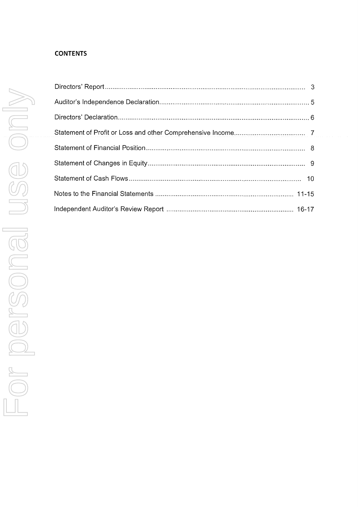# **CONTENTS**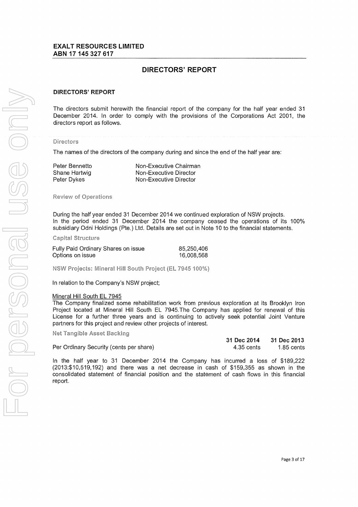# **DIRECTORS' REPORT**

#### DIRECTORS' REPORT

The directors submit herewith the financial report of the company for the half year ended 31 December 2014. In order to comply with the provisions of the Corporations Act 2001, the directors report as follows.

#### Directors

The names of the directors of the company during and since the end of the half year are:

Peter Bennetto Shane Hartwig Peter Dykes

Non-Executive Chairman Non-Executive Director Non-Executive Director

**Review of Operations** 

During the half year ended 31 December 2014 we continued exploration of NSW projects. In the period ended 31 December 2014 the company ceased the operations of its 100% subsidiary Odni Holdings (Pte.) Ltd. Details are set out in Note 10 to the financial statements.

#### Capital Structure

| Fully Paid Ordinary Shares on issue | 85,250,406 |
|-------------------------------------|------------|
| Options on issue                    | 16,008,568 |

NSW Projects: Mineral Hill South Project (EL 7945 100%)

In relation to the Company's NSW project;

#### Mineral Hill South EL 7945

The Company finalized some rehabilitation work from previous exploration at its Brooklyn Iron Project located at Mineral Hill South EL 7945.The Company has applied for renewal of this License for a further three years and is continuing to actively seek potential Joint Venture partners for this project and review other projects of interest.

Net Tangible Asset Backing

|                                         | 31 Dec 2014 31 Dec 2013 |              |
|-----------------------------------------|-------------------------|--------------|
| Per Ordinary Security (cents per share) | 4.35 cents              | $1.85$ cents |

In the half year to 31 December 2014 the Company has incurred a loss of \$189,222 (2013:\$10,519,192) and there was a net decrease in cash of \$159,355 as shown in the consolidated statement of financial position and the statement of cash flows in this financial report.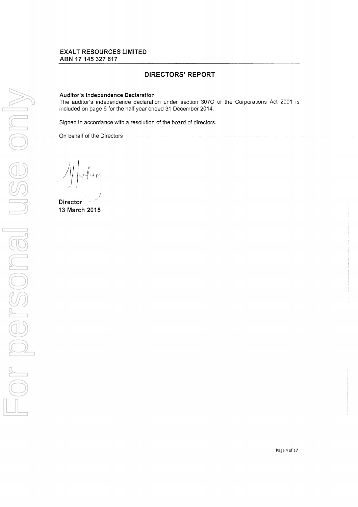## DIRECTORS' REPORT

#### Auditor's Independence Declaration

The auditor's independence declaration under section 307C of the Corporations Act 2001 is included on page 6 for the half year ended 31 December 2014.

Signed in accordance with a resolution of the board of directors.

On behalf of the Directors

**Director** 13 March 2015

Page 4 of 17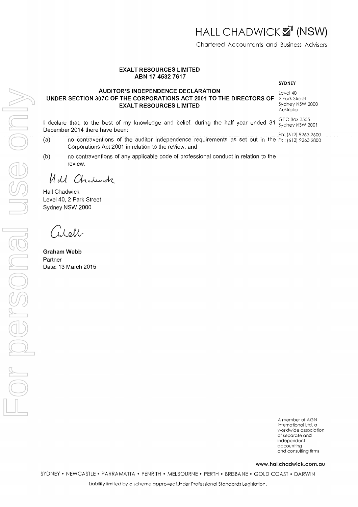## AUDITOR'S INDEPENDENCE DECLARATION UNDER SECTION 307C OF THE CORPORATIONS ACT 2001 TO THE DIRECTORS OF EXALT RESOURCES LIMITED

I declare that, to the best of my knowledge and belief, during the half year ended 31 December 2014 there have been:

- (a) no contraventions of the auditor independence requirements as set out in the  $F_x$ : (612) 9263 2800 Corporations Act 2001 in relation to the review, and
- (b) no contraventions of any applicable code of professional conduct in relation to the review.

Udl Chadurak

Hall Chadwick Level 40, 2 Park Street Sydney NSW 2000

Lell

For personal use only

IC POCTSONE

Graham Webb Partner Date: 13 March 2015

A member of AGN International Ltd, a worldwide association of separate and independent accounting and consulting firms

www.hallchadwick.com.au

SYDNEY • NEWCASTLE • PARRAMATTA • PENRITH • MELBOURNE • PERTH • BRISBANE • GOLD COAST • DARWIN

# ABN 17 4532 7617

#### SYDNEY

Level 40 2 Park Street Sydney NSW 2000 Australia

GPO Box 3555 Sydney NSW 2001

Ph: (612) 9263 2600

HALL CHADWICK 2 (NSW)

Chartered Accountants and Business Advisers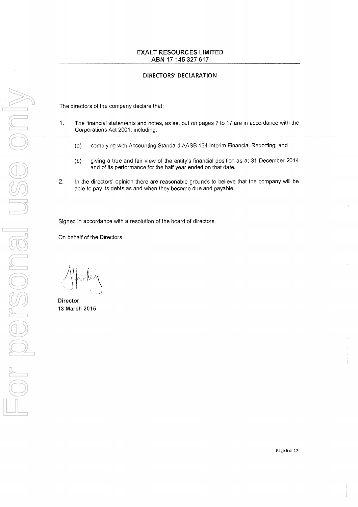#### DIRECTORS' DECLARATION

The directors of the company declare that:

- 1. The financial statements and notes, as set out on pages 7 to 17 are in accordance with the Corporations Act 2001, including:
	- (a) complying with Accounting Standard AASB 134 Interim Financial Reporting; and
	- (b) giving a true and fair view of the entity's financial position as at 31 December 2014 and of its performance for the half year ended on that date.
- 2. In the directors' opinion there are reasonable grounds to believe that the company will be able to pay its debts as and when they become due and payable.

Signed in accordance with a resolution of the board of directors.

On behalf of the Directors

Director 13 March 2015

Page 6 of 17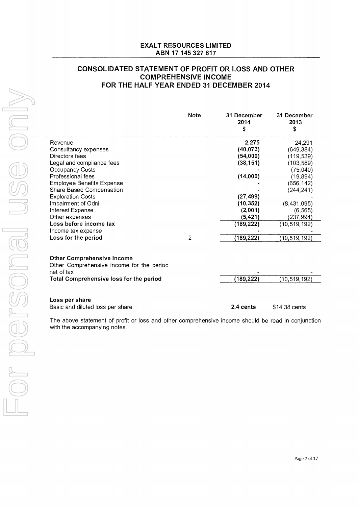# **CONSOLIDATED STATEMENT OF PROFIT OR LOSS AND OTHER COMPREHENSIVE INCOME FOR THE HALF YEAR ENDED** 31 **DECEMBER 2014**

|                                                                                              | <b>Note</b> | 31 December<br>2014<br>S | 31 December<br>2013<br>S |
|----------------------------------------------------------------------------------------------|-------------|--------------------------|--------------------------|
| Revenue<br>Consultancy expenses                                                              |             | 2,275<br>(40, 073)       | 24,291<br>(649, 384)     |
| Directors fees                                                                               |             | (54,000)                 | (119, 539)               |
| Legal and compliance fees                                                                    |             | (38, 151)                | (103, 589)               |
| <b>Occupancy Costs</b>                                                                       |             |                          | (75,040)                 |
| Professional fees                                                                            |             | (14,000)                 | (19, 894)                |
| <b>Employee Benefits Expense</b>                                                             |             |                          | (656, 142)               |
| Share Based Compensation                                                                     |             |                          | (244, 241)               |
| <b>Exploration Costs</b>                                                                     |             | (27, 499)                |                          |
| Impairment of Odni                                                                           |             | (10, 352)                | (8,431,095)              |
| Interest Expense                                                                             |             | (2,001)                  | (6, 565)                 |
| Other expenses                                                                               |             | (5, 421)                 | (237,994)                |
| Loss before income tax                                                                       |             | (189, 222)               | (10, 519, 192)           |
| Income tax expense                                                                           |             |                          |                          |
| Loss for the period                                                                          | 2           | (189,222)                | (10,519,192)             |
| <b>Other Comprehensive Income</b><br>Other Comprehensive income for the period<br>net of tax |             |                          |                          |
| <b>Total Comprehensive loss for the period</b>                                               |             | (189, 222)               | (10, 519, 192)           |
| Loss per share                                                                               |             |                          |                          |

Basic and diluted loss per share

**2.4 cents** \$14.38 cents

The above statement of profit or loss and other comprehensive income should be read in conjunction with the accompanying notes.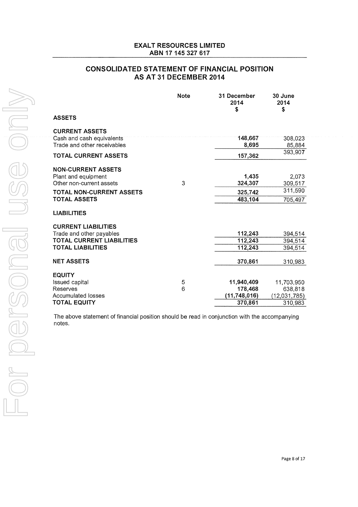# **CONSOLIDATED STATEMENT OF FINANCIAL POSITION AS AT 31 DECEMBER 2014**

| <b>Note</b> | 31 December<br>2014<br>\$ | 30 June<br>2014<br>\$                                                                        |
|-------------|---------------------------|----------------------------------------------------------------------------------------------|
|             |                           |                                                                                              |
|             |                           |                                                                                              |
|             | 148,667                   | 308,023                                                                                      |
|             | 8,695                     | 85,884                                                                                       |
|             | 157,362                   | 393,907                                                                                      |
|             |                           |                                                                                              |
|             | 1,435                     | 2,073                                                                                        |
| 3           | 324,307                   | 309,517                                                                                      |
|             |                           | 311,590                                                                                      |
|             | 483,104                   | 705,497                                                                                      |
|             |                           |                                                                                              |
|             |                           |                                                                                              |
|             |                           | 394,514                                                                                      |
|             |                           | 394,514                                                                                      |
|             |                           | 394,514                                                                                      |
|             | 370,861                   | 310,983                                                                                      |
|             |                           |                                                                                              |
|             |                           | 11,703,950                                                                                   |
|             |                           | 638,818                                                                                      |
|             |                           | (12,031,785)                                                                                 |
|             |                           | 310,983                                                                                      |
|             | 5<br>6                    | 325,742<br>112,243<br>112,243<br>112,243<br>11,940,409<br>178,468<br>(11,748,016)<br>370,861 |

The above statement of financial position should be read in conjunction with the accompanying notes.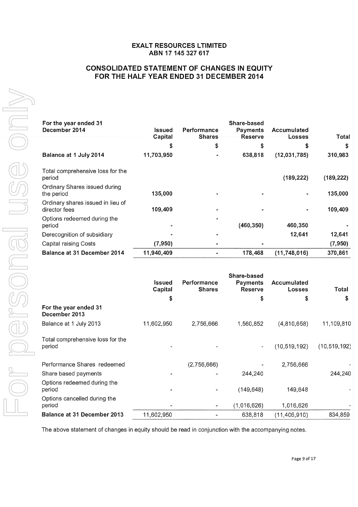# **CONSOLIDATED STATEMENT OF CHANGES IN EQUITY FOR THE HALF YEAR ENDED 31 DECEMBER 2014**

| For the year ended 31<br>December 2014             | Issued     | Performance   | Share-based<br>Payments | Accumulated    |            |
|----------------------------------------------------|------------|---------------|-------------------------|----------------|------------|
|                                                    | Capital    | <b>Shares</b> | Reserve                 | Losses         | Total      |
|                                                    | S          | \$            | \$                      | \$             | \$         |
| Balance at 1 July 2014                             | 11,703,950 |               | 638,818                 | (12,031,785)   | 310,983    |
| Total comprehensive loss for the<br>period         |            |               |                         | (189, 222)     | (189, 222) |
| Ordinary Shares issued during<br>the period        | 135,000    |               |                         |                | 135,000    |
| Ordinary shares issued in lieu of<br>director fees | 109,409    |               |                         |                | 109,409    |
| Options redeemed during the<br>period              |            |               | (460, 350)              | 460,350        |            |
| Derecognition of subsidiary                        |            |               |                         | 12,641         | 12,641     |
| Capital raising Costs                              | (7,950)    |               |                         |                | (7,950)    |
| Balance at 31 December 2014                        | 11,940,409 |               | 178,468                 | (11, 748, 016) | 370,861    |

|                                            | Issued<br>Capital | Performance<br><b>Shares</b> | Share-based<br><b>Payments</b><br><b>Reserve</b> | Accumulated<br>Losses | Total          |
|--------------------------------------------|-------------------|------------------------------|--------------------------------------------------|-----------------------|----------------|
|                                            | \$                |                              | \$                                               | \$                    | \$             |
| For the year ended 31<br>December 2013     |                   |                              |                                                  |                       |                |
| Balance at 1 July 2013                     | 11,602,950        | 2,756,666                    | 1,560,852                                        | (4,810,658)           | 11,109,810     |
| Total comprehensive loss for the<br>period |                   |                              |                                                  | (10, 519, 192)        | (10, 519, 192) |
| Performance Shares redeemed                |                   | (2,756,666)                  |                                                  | 2,756,666             |                |
| Share based payments                       |                   |                              | 244,240                                          |                       | 244,240        |
| Options redeemed during the<br>period      |                   |                              | (149, 648)                                       | 149,648               |                |
| Options cancelled during the<br>period     |                   | $\overline{\phantom{a}}$     | (1,016,626)                                      | 1,016,626             |                |
| Balance at 31 December 2013                | 11,602,950        |                              | 638,818                                          | (11, 406, 910)        | 834,859        |

The above statement of changes in equity should be read in conjunction with the accompanying notes.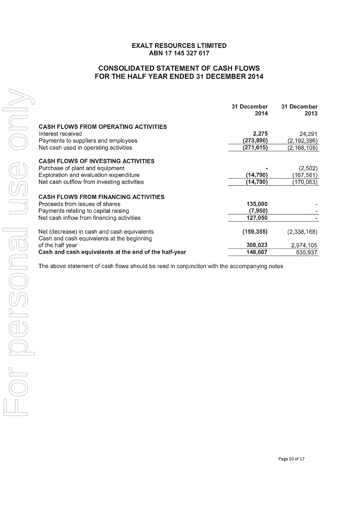# **CONSOLIDATED STATEMENT OF CASH FLOWS FOR THE HALF YEAR ENDED 31 DECEMBER 2014**

|                                                                                           | 31 December<br>2014 | 31 December<br>2013 |
|-------------------------------------------------------------------------------------------|---------------------|---------------------|
| <b>CASH FLOWS FROM OPERATING ACTIVITIES</b><br>Interest received                          | 2,275               | 24,291              |
| Payments to suppliers and employees                                                       | (273,890)           | (2,192,396)         |
| Net cash used in operating activities                                                     | (271, 615)          | (2, 168, 105)       |
| <b>CASH FLOWS OF INVESTING ACTIVITIES</b>                                                 |                     |                     |
| Purchase of plant and equipment                                                           |                     | (2,502)             |
| Exploration and evaluation expenditure                                                    | (14, 790)           | (167, 561)          |
| Net cash outflow from investing activities                                                | (14,790)            | (170,063)           |
| <b>CASH FLOWS FROM FINANCING ACTIVITIES</b>                                               |                     |                     |
| Proceeds from issues of shares                                                            | 135,000             |                     |
| Payments relating to capital raising                                                      | (7,950)             |                     |
| Net cash inflow from financing activities                                                 | 127,050             |                     |
| Net (decrease) in cash and cash equivalents<br>Cash and cash equivalents at the beginning | (159, 355)          | (2,338,168)         |
| of the half year                                                                          | 308,023             | 2,974,105           |
| Cash and cash equivalents at the end of the half-year                                     | 148,667             | 635,937             |
|                                                                                           |                     |                     |

The above statement of cash flows should be read in conjunction with the accompanying notes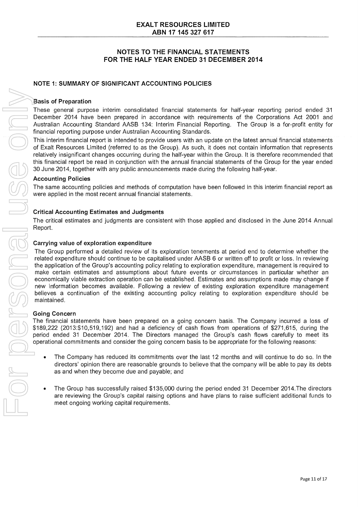## NOTE 1: SUMMARY OF SIGNIFICANT ACCOUNTING POLICIES

#### Basis of Preparation

These general purpose interim consolidated financial statements for half-year reporting period ended 31 December 2014 have been prepared in accordance with requirements of the Corporations Act 2001 and Australian Accounting Standard AASB 134: Interim Financial Reporting. The Group is a for-profit entity for financial reporting purpose under Australian Accounting Standards.

This interim financial report is intended to provide users with an update on the latest annual financial statements of Exalt Resources Limited (referred to as the Group). As such, it does not contain information that represents relatively insignificant changes occurring during the half-year within the Group. It is therefore recommended that this financial report be read in conjunction with the annual financial statements of the Group for the year ended 30 June 2014, together with any public announcements made during the following half-year.

#### Accounting Policies

The same accounting policies and methods of computation have been followed in this interim financial report as were applied in the most recent annual financial statements.

#### Critical Accounting Estimates and Judgments

The critical estimates and judgments are consistent with those applied and disclosed in the June 2014 Annual Report.

#### Carrying value of exploration expenditure

The Group performed a detailed review of its exploration tenements at period end to determine whether the related expenditure should continue to be capitalised under AASB 6 or written off to profit or loss. In reviewing the application of the Group's accounting policy relating to exploration expenditure, management is required to make certain estimates and assumptions about future events or circumstances in particular whether an economically viable extraction operation can be established. Estimates and assumptions made may change if new information becomes available. Following a review of existing exploration expenditure management believes a continuation of the existing accounting policy relating to exploration expenditure should be maintained.

#### Going Concern

The financial statements have been prepared on a going concern basis. The Company incurred a loss of \$189,222 (2013:\$10,519,192) and had a deficiency of cash flows from operations of \$271,615, during the period ended 31 December 2014. The Directors managed the Group's cash flows carefully to meet its operational commitments and consider the going concern basis to be appropriate for the following reasons:

- The Company has reduced its commitments over the last 12 months and will continue to do so. In the directors' opinion there are reasonable grounds to believe that the company will be able to pay its debts as and when they become due and payable; and
- The Group has successfully raised \$135,000 during the period ended 31 December 2014.The directors are reviewing the Group's capital raising options and have plans to raise sufficient additional funds to meet ongoing working capital requirements.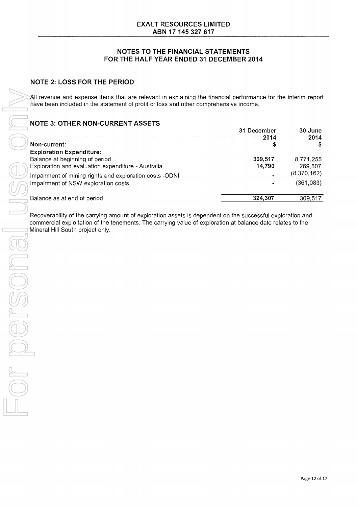All revenue and expense items that are relevant in explaining the financial performance for the interim report have been included in the statement of profit or loss and other comprehensive income.

# NOTE 3: OTHER NON -CURRENT ASSETS

|                                                         | 31 December<br>2014 | 30 June<br>2014 |
|---------------------------------------------------------|---------------------|-----------------|
| Non-current:                                            |                     |                 |
| <b>Exploration Expenditure:</b>                         |                     |                 |
| Balance at beginning of period                          | 309,517             | 8.771.255       |
| Exploration and evaluation expenditure - Australia      | 14,790              | 269,507         |
| Impairment of mining rights and exploration costs -ODNI |                     | (8,370,162)     |
| Impairment of NSW exploration costs                     |                     | (361,083)       |
| Balance as at end of period                             | 324.307             | 309,517         |

Recoverability of the carrying amount of exploration assets is dependent on the successful exploration and commercial exploitation of the tenements. The carrying value of exploration at balance date relates to the **Mineral Hill South project only.**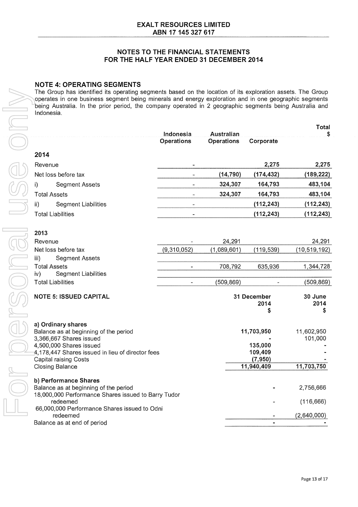## **NOTE 4: OPERATING SEGMENTS**

The Group has identified its operating segments based on the location of its exploration assets. The Group operates in one business segment being minerals and energy exploration and in one geographic segments being Australia. In the prior period, the company operated in 2 geographic segments being Australia and Indonesia.

|                                                                             |                                |                                 |                    | Total          |
|-----------------------------------------------------------------------------|--------------------------------|---------------------------------|--------------------|----------------|
|                                                                             | Indonesia<br><b>Operations</b> | Australian<br><b>Operations</b> | Corporate          | S              |
| 2014                                                                        |                                |                                 |                    |                |
|                                                                             |                                |                                 | 2,275              | 2,275          |
| Revenue                                                                     |                                |                                 |                    |                |
| Net loss before tax                                                         |                                | (14, 790)                       | (174, 432)         | (189, 222)     |
| i)<br><b>Segment Assets</b>                                                 |                                | 324,307                         | 164,793            | 483,104        |
| <b>Total Assets</b>                                                         |                                | 324,307                         | 164,793            | 483,104        |
| <b>Segment Liabilities</b><br>ii)                                           |                                |                                 | (112, 243)         | (112, 243)     |
| <b>Total Liabilities</b>                                                    |                                |                                 | (112, 243)         | (112, 243)     |
| 2013                                                                        |                                |                                 |                    |                |
| Revenue                                                                     |                                | 24,291                          |                    | 24,291         |
| Net loss before tax                                                         | (9,310,052)                    | (1,089,601)                     | (119, 539)         | (10, 519, 192) |
| iii)<br>Segment Assets                                                      |                                |                                 |                    |                |
| <b>Total Assets</b>                                                         |                                | 708,792                         | 635,936            | 1,344,728      |
| <b>Segment Liabilities</b><br>iv)                                           |                                |                                 |                    |                |
| <b>Total Liabilities</b>                                                    |                                | (509,869)                       |                    | (509, 869)     |
| <b>NOTE 5: ISSUED CAPITAL</b>                                               |                                |                                 | 31 December        | 30 June        |
|                                                                             |                                |                                 | 2014               | 2014           |
|                                                                             |                                |                                 | \$                 | \$             |
| a) Ordinary shares                                                          |                                |                                 |                    |                |
| Balance as at beginning of the period                                       |                                |                                 | 11,703,950         | 11,602,950     |
| 3,366,667 Shares issued                                                     |                                |                                 |                    | 101,000        |
| 4,500,000 Shares issued<br>4,178,447 Shares issued in lieu of director fees |                                |                                 | 135,000<br>109,409 |                |
| <b>Capital raising Costs</b>                                                |                                |                                 | (7,950)            |                |
| <b>Closing Balance</b>                                                      |                                |                                 | 11,940,409         | 11,703,750     |
| b) Performance Shares                                                       |                                |                                 |                    |                |
| Balance as at beginning of the period                                       |                                |                                 |                    | 2,756,666      |
| 18,000,000 Performance Shares issued to Barry Tudor                         |                                |                                 |                    |                |
| redeemed<br>66,000,000 Performance Shares issued to Odni                    |                                |                                 |                    | (116, 666)     |
| redeemed                                                                    |                                |                                 |                    | (2,640,000)    |
| Balance as at end of period                                                 |                                |                                 |                    |                |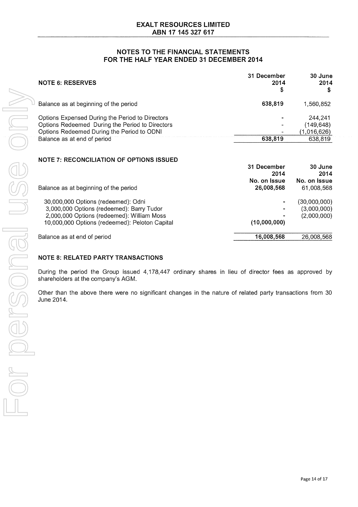| <b>NOTE 6: RESERVES</b>                                                                                                                                                         | 31 December<br>2014<br>S | 30 June<br>2014                                |
|---------------------------------------------------------------------------------------------------------------------------------------------------------------------------------|--------------------------|------------------------------------------------|
| Balance as at beginning of the period                                                                                                                                           | 638,819                  | 1.560.852                                      |
| Options Expensed During the Period to Directors<br>Options Redeemed During the Period to Directors<br>Options Redeemed During the Period to ODNI<br>Balance as at end of period | 638,819                  | 244.241<br>(149,648)<br>(1,016,626)<br>638,819 |

#### **NOTE 7: RECONCILIATION OF OPTIONS ISSUED**

|                                                | 31 December<br>2014 | 30 June<br>2014 |
|------------------------------------------------|---------------------|-----------------|
|                                                | No. on Issue        | No. on Issue    |
| Balance as at beginning of the period          | 26,008,568          | 61,008,568      |
| 30,000,000 Options (redeemed): Odni            |                     | (30,000,000)    |
| 3,000,000 Options (redeemed): Barry Tudor      | $\blacksquare$      | (3,000,000)     |
| 2,000,000 Options (redeemed): William Moss     | ۰                   | (2,000,000)     |
| 10,000,000 Options (redeemed): Peloton Capital | (10,000,000)        |                 |
| Balance as at end of period                    | 16,008,568          | 26,008,568      |

#### **NOTE 8: RELATED PARTY TRANSACTIONS**

During the period the Group issued 4,178,447 ordinary shares in lieu of director fees as approved by shareholders at the company's AGM.

Other than the above there were no significant changes in the nature of related party transactions from 30 June 2014.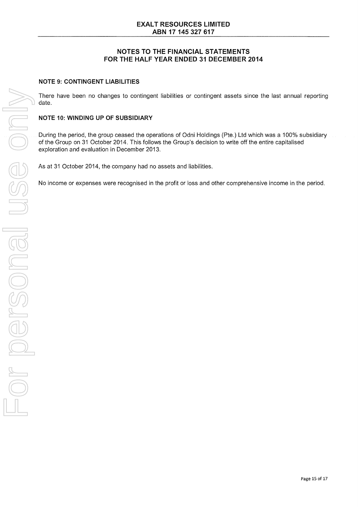#### NOTE 9: CONTINGENT LIABILITIES

There have been no changes to contingent liabilities or contingent assets since the last annual reporting date.

#### NOTE 10: WINDING UP OF SUBSIDIARY

During the period, the group ceased the operations of Odni Holdings (Pte.) Ltd which was a 100% subsidiary of the Group on 31 October 2014. This follows the Group's decision to write off the entire capitalised exploration and evaluation in December 2013.

As at 31 October 2014, the company had no assets and liabilities.

No income or expenses were recognised in the profit or loss and other comprehensive income in the period.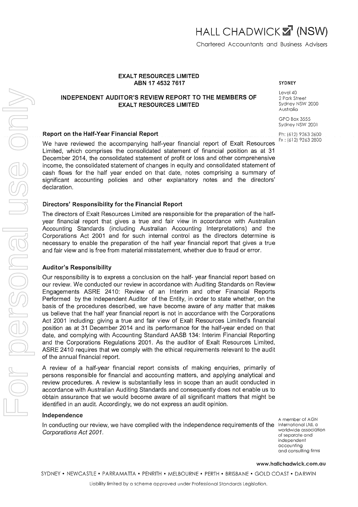## **INDEPENDENT AUDITOR'S REVIEW REPORT TO THE MEMBERS OF EXALT RESOURCES LIMITED**

#### **Report on the Half-Year Financial Report**

We have reviewed the accompanying half-year financial report of Exalt Resources Limited, which comprises the consolidated statement of financial position as at 31 December 2014, the consolidated statement of profit or loss and other comprehensive income, the consolidated statement of changes in equity and consolidated statement of cash flows for the half year ended on that date, notes comprising a summary of significant accounting policies and other explanatory notes and the directors' declaration.

#### **Directors' Responsibility for the Financial Report**

The directors of Exalt Resources Limited are responsible for the preparation of the halfyear financial report that gives a true and fair view in accordance with Australian Accounting Standards (including Australian Accounting Interpretations) and the Corporations Act 2001 and for such internal control as the directors determine is necessary to enable the preparation of the half year financial report that gives a true and fair view and is free from material misstatement, whether due to fraud or error.

#### **Auditor's Responsibility**

Our responsibility is to express a conclusion on the half- year financial report based on our review. We conducted our review in accordance with Auditing Standards on Review Engagements ASRE 2410: Review of an Interim and other Financial Reports Performed by the Independent Auditor of the Entity, in order to state whether, on the basis of the procedures described, we have become aware of any matter that makes us believe that the half year financial report is not in accordance with the Corporations Act 2001 including: giving a true and fair view of Exalt Resources Limited's financial position as at 31 December 2014 and its performance for the half-year ended on that date, and complying with Accounting Standard AASB 134: Interim Financial Reporting and the Corporations Regulations 2001. As the auditor of Exalt Resources Limited, ASRE 2410 requires that we comply with the ethical requirements relevant to the audit of the annual financial report.

A review of a half-year financial report consists of making enquiries, primarily of persons responsible for financial and accounting matters, and applying analytical and review procedures. A review is substantially less in scope than an audit conducted in accordance with Australian Auditing Standards and consequently does not enable us to obtain assurance that we would become aware of all significant matters that might be identified in an audit. Accordingly, we do not express an audit opinion.

#### **Independence**

In conducting our review, we have complied with the independence requirements of the International Ltd, a Corporations Act 2001.

A member of AGN worldwide association of separate and independent accounting and consulting firms

www.hallchadwick.com.au

SYDNEY • NEWCASTLE • PARRAMATTA • PENRITH • MELBOURNE • PERTH • BRISBANE • GOLD COAST • DARWIN

SYDNEY

Level 40 2 Park Street Sydney NSW 2000 Australia

GPO Box 3555 Sydney NSW 2001

Ph: (612) 9263 2600 Fx : (612) 9263 2800